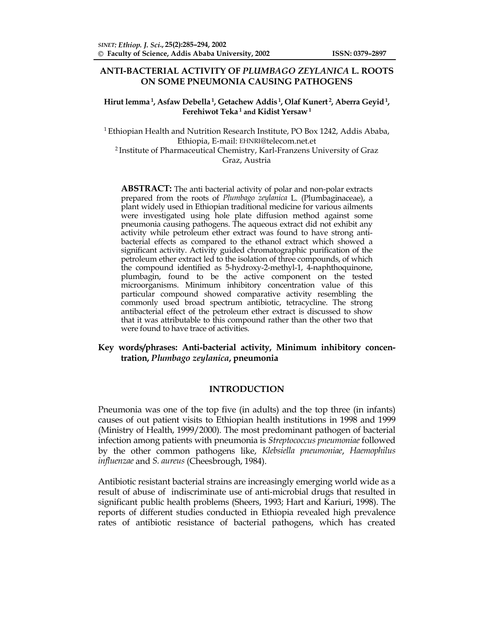# **ANTI-BACTERIAL ACTIVITY OF** *PLUMBAGO ZEYLANICA* **L. ROOTS ON SOME PNEUMONIA CAUSING PATHOGENS**

### **Hirut lemma 1, Asfaw Debella 1, Getachew Addis 1, Olaf Kunert 2, Aberra Geyid 1, Ferehiwot Teka 1 and Kidist Yersaw 1**

1 Ethiopian Health and Nutrition Research Institute, PO Box 1242, Addis Ababa, Ethiopia, E-mail: EHNRI@telecom.net.et 2 Institute of Pharmaceutical Chemistry, Karl-Franzens University of Graz Graz, Austria

**ABSTRACT:** The anti bacterial activity of polar and non-polar extracts prepared from the roots of *Plumbago zeylanica* L. (Plumbaginaceae), a plant widely used in Ethiopian traditional medicine for various ailments were investigated using hole plate diffusion method against some pneumonia causing pathogens. The aqueous extract did not exhibit any activity while petroleum ether extract was found to have strong antibacterial effects as compared to the ethanol extract which showed a significant activity. Activity guided chromatographic purification of the petroleum ether extract led to the isolation of three compounds, of which the compound identified as 5-hydroxy-2-methyl-1, 4-naphthoquinone, plumbagin, found to be the active component on the tested microorganisms. Minimum inhibitory concentration value of this particular compound showed comparative activity resembling the commonly used broad spectrum antibiotic, tetracycline. The strong antibacterial effect of the petroleum ether extract is discussed to show that it was attributable to this compound rather than the other two that were found to have trace of activities.

# **Key words/phrases: Anti-bacterial activity, Minimum inhibitory concentration,** *Plumbago zeylanica***, pneumonia**

# **INTRODUCTION**

Pneumonia was one of the top five (in adults) and the top three (in infants) causes of out patient visits to Ethiopian health institutions in 1998 and 1999 (Ministry of Health, 1999/2000). The most predominant pathogen of bacterial infection among patients with pneumonia is *Streptococcus pneumoniae* followed by the other common pathogens like, *Klebsiella pneumoniae*, *Haemophilus influenzae* and *S. aureus* (Cheesbrough, 1984).

Antibiotic resistant bacterial strains are increasingly emerging world wide as a result of abuse of indiscriminate use of anti-microbial drugs that resulted in significant public health problems (Sheers, 1993; Hart and Kariuri, 1998). The reports of different studies conducted in Ethiopia revealed high prevalence rates of antibiotic resistance of bacterial pathogens, which has created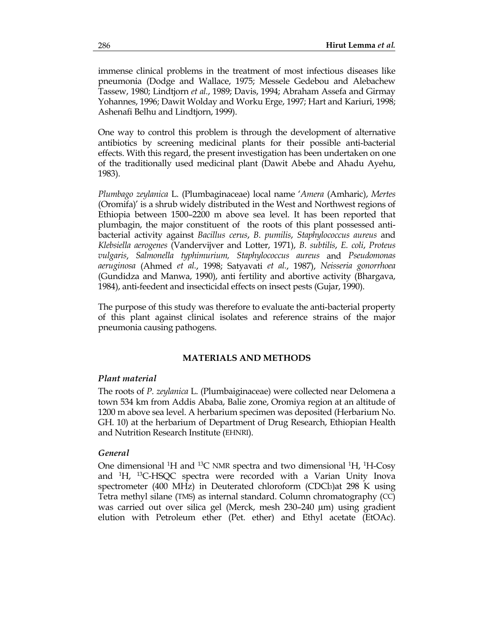immense clinical problems in the treatment of most infectious diseases like pneumonia (Dodge and Wallace, 1975; Messele Gedebou and Alebachew Tassew, 1980; Lindtjorn *et al.*, 1989; Davis, 1994; Abraham Assefa and Girmay Yohannes, 1996; Dawit Wolday and Worku Erge, 1997; Hart and Kariuri, 1998; Ashenafi Belhu and Lindtjorn, 1999).

One way to control this problem is through the development of alternative antibiotics by screening medicinal plants for their possible anti-bacterial effects. With this regard, the present investigation has been undertaken on one of the traditionally used medicinal plant (Dawit Abebe and Ahadu Ayehu, 1983).

*Plumbago zeylanica* L. (Plumbaginaceae) local name '*Amera* (Amharic), *Mertes* (Oromifa)' is a shrub widely distributed in the West and Northwest regions of Ethiopia between 1500–2200 m above sea level. It has been reported that plumbagin, the major constituent of the roots of this plant possessed antibacterial activity against *Bacillus cerus*, *B. pumilis*, *Staphylococcus aureus* and *Klebsiella aerogenes* (Vandervijver and Lotter, 1971), *B*. *subtilis*, *E. coli*, *Proteus vulgaris*, *Salmonella typhimurium, Staphylococcus aureus* and *Pseudomonas aeruginosa* (Ahmed *et al.*, 1998; Satyavati *et al.*, 1987), *Neisseria gonorrhoea* (Gundidza and Manwa, 1990), anti fertility and abortive activity (Bhargava, 1984), anti-feedent and insecticidal effects on insect pests (Gujar, 1990).

The purpose of this study was therefore to evaluate the anti-bacterial property of this plant against clinical isolates and reference strains of the major pneumonia causing pathogens.

# **MATERIALS AND METHODS**

# *Plant material*

The roots of *P. zeylanica* L. (Plumbaiginaceae) were collected near Delomena a town 534 km from Addis Ababa, Balie zone, Oromiya region at an altitude of 1200 m above sea level. A herbarium specimen was deposited (Herbarium No. GH. 10) at the herbarium of Department of Drug Research, Ethiopian Health and Nutrition Research Institute (EHNRI).

# *General*

One dimensional <sup>1</sup>H and <sup>13</sup>C NMR spectra and two dimensional <sup>1</sup>H, <sup>1</sup>H-Cosy and 1 H, 13C-HSQC spectra were recorded with a Varian Unity Inova spectrometer (400 MHz) in Deuterated chloroform (CDCl3)at 298 K using Tetra methyl silane (TMS) as internal standard. Column chromatography (CC) was carried out over silica gel (Merck, mesh 230–240 µm) using gradient elution with Petroleum ether (Pet. ether) and Ethyl acetate (EtOAc).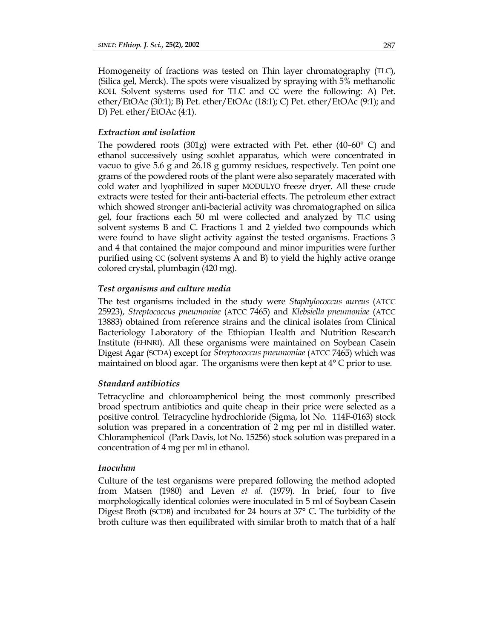Homogeneity of fractions was tested on Thin layer chromatography (TLC), (Silica gel, Merck). The spots were visualized by spraying with 5% methanolic KOH. Solvent systems used for TLC and CC were the following: A) Pet. ether/EtOAc (30:1); B) Pet. ether/EtOAc (18:1); C) Pet. ether/EtOAc (9:1); and D) Pet. ether/EtOAc (4:1).

# *Extraction and isolation*

The powdered roots (301g) were extracted with Pet. ether (40–60° C) and ethanol successively using soxhlet apparatus, which were concentrated in vacuo to give 5.6 g and 26.18 g gummy residues, respectively. Ten point one grams of the powdered roots of the plant were also separately macerated with cold water and lyophilized in super MODULYO freeze dryer. All these crude extracts were tested for their anti-bacterial effects. The petroleum ether extract which showed stronger anti-bacterial activity was chromatographed on silica gel, four fractions each 50 ml were collected and analyzed by TLC using solvent systems B and C. Fractions 1 and 2 yielded two compounds which were found to have slight activity against the tested organisms. Fractions 3 and 4 that contained the major compound and minor impurities were further purified using CC (solvent systems A and B) to yield the highly active orange colored crystal, plumbagin (420 mg).

#### *Test organisms and culture media*

The test organisms included in the study were *Staphylococcus aureus* (ATCC 25923), *Streptococcus pneumoniae* (ATCC 7465) and *Klebsiella pneumoniae* (ATCC 13883) obtained from reference strains and the clinical isolates from Clinical Bacteriology Laboratory of the Ethiopian Health and Nutrition Research Institute (EHNRI). All these organisms were maintained on Soybean Casein Digest Agar (SCDA) except for *Streptococcus pneumoniae* (ATCC 7465) which was maintained on blood agar. The organisms were then kept at 4° C prior to use.

### *Standard antibiotics*

Tetracycline and chloroamphenicol being the most commonly prescribed broad spectrum antibiotics and quite cheap in their price were selected as a positive control. Tetracycline hydrochloride (Sigma, lot No. 114F-0163) stock solution was prepared in a concentration of 2 mg per ml in distilled water. Chloramphenicol (Park Davis, lot No. 15256) stock solution was prepared in a concentration of 4 mg per ml in ethanol.

#### *Inoculum*

Culture of the test organisms were prepared following the method adopted from Matsen (1980) and Leven *et al*. (1979). In brief, four to five morphologically identical colonies were inoculated in 5 ml of Soybean Casein Digest Broth (SCDB) and incubated for 24 hours at 37° C. The turbidity of the broth culture was then equilibrated with similar broth to match that of a half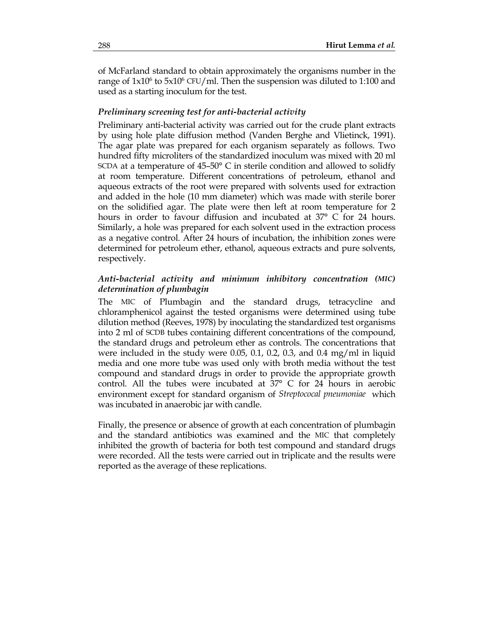of McFarland standard to obtain approximately the organisms number in the range of  $1x10^6$  to  $5x10^6$  CFU/ml. Then the suspension was diluted to 1:100 and used as a starting inoculum for the test.

# *Preliminary screening test for anti-bacterial activity*

Preliminary anti-bacterial activity was carried out for the crude plant extracts by using hole plate diffusion method (Vanden Berghe and Vlietinck, 1991). The agar plate was prepared for each organism separately as follows. Two hundred fifty microliters of the standardized inoculum was mixed with 20 ml SCDA at a temperature of 45–50° C in sterile condition and allowed to solidfy at room temperature. Different concentrations of petroleum, ethanol and aqueous extracts of the root were prepared with solvents used for extraction and added in the hole (10 mm diameter) which was made with sterile borer on the solidified agar. The plate were then left at room temperature for 2 hours in order to favour diffusion and incubated at 37° C for 24 hours. Similarly, a hole was prepared for each solvent used in the extraction process as a negative control. After 24 hours of incubation, the inhibition zones were determined for petroleum ether, ethanol, aqueous extracts and pure solvents, respectively.

# *Anti-bacterial activity and minimum inhibitory concentration (MIC) determination of plumbagin*

The MIC of Plumbagin and the standard drugs, tetracycline and chloramphenicol against the tested organisms were determined using tube dilution method (Reeves, 1978) by inoculating the standardized test organisms into 2 ml of SCDB tubes containing different concentrations of the compound, the standard drugs and petroleum ether as controls. The concentrations that were included in the study were 0.05, 0.1, 0.2, 0.3, and 0.4 mg/ml in liquid media and one more tube was used only with broth media without the test compound and standard drugs in order to provide the appropriate growth control. All the tubes were incubated at 37° C for 24 hours in aerobic environment except for standard organism of *Streptococal pneumoniae* which was incubated in anaerobic jar with candle.

Finally, the presence or absence of growth at each concentration of plumbagin and the standard antibiotics was examined and the MIC that completely inhibited the growth of bacteria for both test compound and standard drugs were recorded. All the tests were carried out in triplicate and the results were reported as the average of these replications.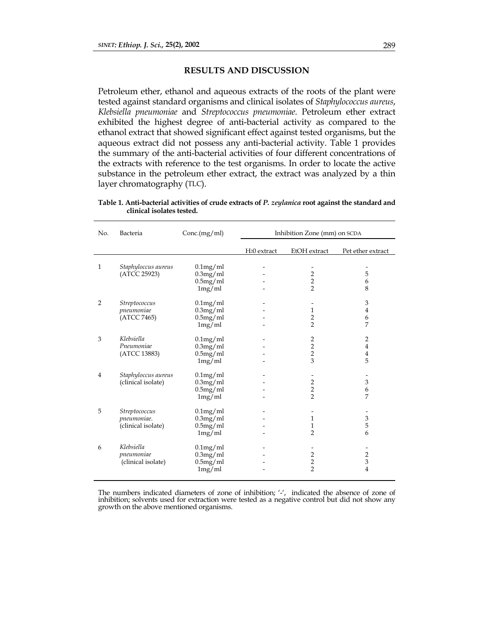# **RESULTS AND DISCUSSION**

Petroleum ether, ethanol and aqueous extracts of the roots of the plant were tested against standard organisms and clinical isolates of *Staphylococcus aureus*, *Klebsiella pneumoniae* and *Streptococcus pneumoniae*. Petroleum ether extract exhibited the highest degree of anti-bacterial activity as compared to the ethanol extract that showed significant effect against tested organisms, but the aqueous extract did not possess any anti-bacterial activity. Table 1 provides the summary of the anti-bacterial activities of four different concentrations of the extracts with reference to the test organisms. In order to locate the active substance in the petroleum ether extract, the extract was analyzed by a thin layer chromatography (TLC).

| Table 1. Anti-bacterial activities of crude extracts of P. zeylanica root against the standard and |  |  |
|----------------------------------------------------------------------------------------------------|--|--|
| clinical isolates tested.                                                                          |  |  |

| No.            | Bacteria            | Conc(mg/ml) |                          | Inhibition Zone (mm) on SCDA |                           |
|----------------|---------------------|-------------|--------------------------|------------------------------|---------------------------|
|                |                     |             | H <sub>2</sub> 0 extract | EtOH extract                 | Pet ether extract         |
|                |                     |             |                          |                              |                           |
| $\mathbf{1}$   | Staphyloccus aureus | $0.1$ mg/ml |                          |                              |                           |
|                | (ATCC 25923)        | 0.3mg/ml    |                          | $\frac{2}{2}$                | 5                         |
|                |                     | 0.5mg/ml    |                          |                              | 6                         |
|                |                     | 1mg/ml      |                          | $\overline{2}$               | 8                         |
| 2              | Streptococcus       | $0.1$ mg/ml |                          |                              | $\mathfrak{B}$            |
|                | pneumoniae          | 0.3mg/ml    |                          | $\mathbf{1}$                 | $\overline{4}$            |
|                | (ATCC 7465)         | 0.5mg/ml    |                          | $\overline{\mathbf{c}}$      | 6                         |
|                |                     | 1mg/ml      |                          | $\overline{2}$               | 7                         |
|                |                     |             |                          |                              |                           |
| 3              | Klebsiella          | $0.1$ mg/ml |                          | $\overline{\mathbf{c}}$      | $\overline{2}$            |
|                | Pneumoniae          | 0.3mg/ml    |                          | $\overline{2}$               | $\bf 4$                   |
|                | (ATCC 13883)        | 0.5mg/ml    |                          | $\overline{2}$               | $\overline{4}$            |
|                |                     | 1mg/ml      |                          | 3                            | 5                         |
|                |                     |             |                          |                              |                           |
| $\overline{4}$ | Staphyloccus aureus | $0.1$ mg/ml |                          |                              |                           |
|                | (clinical isolate)  | 0.3mg/ml    |                          | 2                            | $\ensuremath{\mathsf{3}}$ |
|                |                     | 0.5mg/ml    |                          | $\overline{2}$               | 6                         |
|                |                     | 1mg/ml      |                          | $\overline{2}$               | 7                         |
|                |                     |             |                          |                              |                           |
| 5              | Streptococcus       | $0.1$ mg/ml |                          |                              |                           |
|                | pneumoniae.         | 0.3mg/ml    |                          | $\mathbf{1}$                 | $\ensuremath{\mathsf{3}}$ |
|                | (clinical isolate)  | 0.5mg/ml    |                          | 1                            | 5                         |
|                |                     | 1mg/ml      |                          | $\overline{2}$               | 6                         |
|                |                     |             |                          |                              |                           |
| 6              | Klebsiella          | $0.1$ mg/ml |                          |                              |                           |
|                | pneumoniae          | $0.3$ mg/ml |                          |                              | $\overline{c}$            |
|                | (clinical isolate)  | $0.5$ mg/ml |                          | $\frac{2}{2}$                | $\overline{3}$            |
|                |                     | 1mg/ml      |                          |                              | 4                         |
|                |                     |             |                          |                              |                           |

The numbers indicated diameters of zone of inhibition; '-', indicated the absence of zone of inhibition; solvents used for extraction were tested as a negative control but did not show any growth on the above mentioned organisms.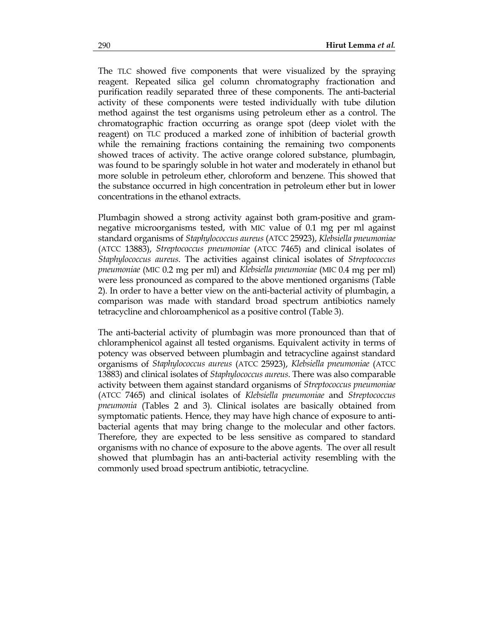The TLC showed five components that were visualized by the spraying reagent. Repeated silica gel column chromatography fractionation and purification readily separated three of these components. The anti-bacterial activity of these components were tested individually with tube dilution method against the test organisms using petroleum ether as a control. The chromatographic fraction occurring as orange spot (deep violet with the reagent) on TLC produced a marked zone of inhibition of bacterial growth while the remaining fractions containing the remaining two components showed traces of activity. The active orange colored substance, plumbagin, was found to be sparingly soluble in hot water and moderately in ethanol but more soluble in petroleum ether, chloroform and benzene. This showed that the substance occurred in high concentration in petroleum ether but in lower concentrations in the ethanol extracts.

Plumbagin showed a strong activity against both gram-positive and gramnegative microorganisms tested, with MIC value of 0.1 mg per ml against standard organisms of *Staphylococcus aureus* (ATCC 25923), *Klebsiella pneumoniae* (ATCC 13883), *Streptococcus pneumoniae* (ATCC 7465) and clinical isolates of *Staphylococcus aureus*. The activities against clinical isolates of *Streptococcus pneumoniae* (MIC 0.2 mg per ml) and *Klebsiella pneumoniae* (MIC 0.4 mg per ml) were less pronounced as compared to the above mentioned organisms (Table 2). In order to have a better view on the anti-bacterial activity of plumbagin, a comparison was made with standard broad spectrum antibiotics namely tetracycline and chloroamphenicol as a positive control (Table 3).

The anti-bacterial activity of plumbagin was more pronounced than that of chloramphenicol against all tested organisms. Equivalent activity in terms of potency was observed between plumbagin and tetracycline against standard organisms of *Staphylococcus aureus* (ATCC 25923), *Klebsiella pneumoniae* (ATCC 13883) and clinical isolates of *Staphylococcus aureus*. There was also comparable activity between them against standard organisms of *Streptococcus pneumoniae*  (ATCC 7465) and clinical isolates of *Klebsiella pneumoniae* and *Streptococcus pneumonia* (Tables 2 and 3). Clinical isolates are basically obtained from symptomatic patients. Hence, they may have high chance of exposure to antibacterial agents that may bring change to the molecular and other factors. Therefore, they are expected to be less sensitive as compared to standard organisms with no chance of exposure to the above agents. The over all result showed that plumbagin has an anti-bacterial activity resembling with the commonly used broad spectrum antibiotic, tetracycline.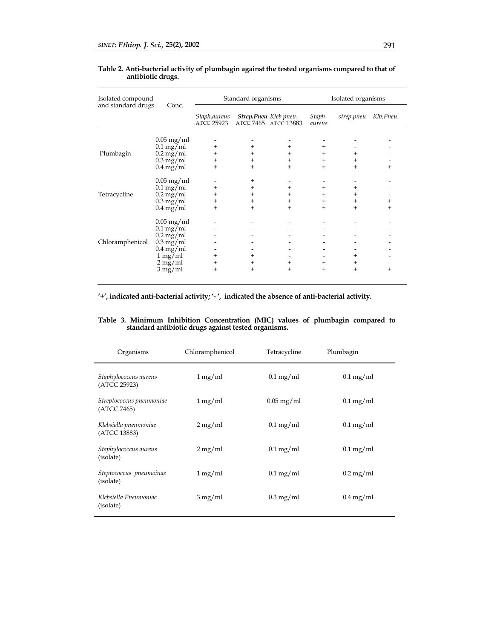| Isolated compound<br>and standard drugs | Conc.                                                                                                                                                                                  |                                              | Standard organisms                                  |                                               |                                      | Isolated organisms             |                  |
|-----------------------------------------|----------------------------------------------------------------------------------------------------------------------------------------------------------------------------------------|----------------------------------------------|-----------------------------------------------------|-----------------------------------------------|--------------------------------------|--------------------------------|------------------|
|                                         |                                                                                                                                                                                        | Staph.aureus<br>atcc 25923                   |                                                     | Strep.Pneu Kleb pneu.<br>ATCC 7465 ATCC 13883 | Staph<br>aureus                      | strep.pneu                     | Klb.Pneu.        |
| Plumbagin                               | $0.05$ mg/ml<br>$0.1 \text{ mg/ml}$<br>$0.2 \,\mathrm{mg/ml}$<br>$0.3 \text{ mg/ml}$<br>$0.4 \text{ mg/ml}$                                                                            | $^{+}$<br>$^{+}$<br>$\ddot{}$<br>$+$         | $\pm$<br>$^{\mathrm{+}}$<br>$\pmb{+}$<br>$\ddot{}$  | $+$<br>$+$<br>$+$<br>$+$                      | $\overline{+}$<br>$+$<br>$+$<br>$+$  | $\ddot{}$<br>$+$<br>$+$        | $+$              |
| Tetracycline                            | $0.05$ mg/ml<br>$0.1 \text{ mg/ml}$<br>$0.2 \text{ mg/ml}$<br>$0.3 \text{ mg/ml}$<br>$0.4 \text{ mg/ml}$                                                                               | $\pm$<br>$\ddot{}$<br>$\ddot{}$<br>$\ddot{}$ | $^{\mathrm{+}}$<br>+<br>$\pm$<br>$\pm$<br>$\ddot{}$ | $\ddot{}$<br>$+$<br>$+$<br>$\overline{+}$     | $\ddot{}$<br>$+$<br>$+$<br>$\ddot{}$ | $\ddot{}$<br>$+$<br>$+$<br>$+$ | $\ddot{}$<br>$+$ |
| Chloramphenicol                         | $0.05 \,\mathrm{mg/ml}$<br>$0.1 \text{ mg/ml}$<br>$0.2 \,\mathrm{mg/ml}$<br>$0.3 \text{ mg/ml}$<br>$0.4 \,\mathrm{mg/ml}$<br>$1 \,\mathrm{mg/ml}$<br>$2 \,\mathrm{mg/ml}$<br>$3$ mg/ml | $^{+}$<br>$\pm$<br>$\ddot{}$                 | $\pm$<br>+<br>$+$                                   | $\ddot{}$<br>$\ddot{}$                        | $^{+}$<br>$\pm$                      | $+$<br>$^+$<br>$+$             | $+$              |

#### **Table 2. Anti-bacterial activity of plumbagin against the tested organisms compared to that of antibiotic drugs.**

**'+', indicated anti-bacterial activity; '- ', indicated the absence of anti-bacterial activity.** 

**Table 3. Minimum Inhibition Concentration (MIC) values of plumbagin compared to standard antibiotic drugs against tested organisms.** 

| Organisms                               | Chloramphenicol      | Tetracycline            | Plumbagin              |
|-----------------------------------------|----------------------|-------------------------|------------------------|
| Staphylococcus aureus<br>(ATCC 25923)   | 1 mg/ml              | $0.1 \text{ mg/ml}$     | $0.1 \text{ mg/ml}$    |
| Streptococcus pneumoniae<br>(ATCC 7465) | $1 \,\mathrm{mg/ml}$ | $0.05 \,\mathrm{mg/ml}$ | $0.1 \text{ mg/ml}$    |
| Klebsiella pneumoniae<br>(ATCC 13883)   | $2 \,\mathrm{mg/ml}$ | $0.1 \,\mathrm{mg/ml}$  | $0.1 \,\mathrm{mg/ml}$ |
| Staphylococcus aureus<br>(isolate)      | $2 \,\mathrm{mg/ml}$ | $0.1 \text{ mg/ml}$     | $0.1 \text{ mg/ml}$    |
| Steptococcus pneumoinae<br>(isolate)    | $1 \,\mathrm{mg/ml}$ | $0.1 \,\mathrm{mg/ml}$  | $0.2 \,\mathrm{mg/ml}$ |
| Klebsiella Pneumoniae<br>(isolate)      | $3 \,\mathrm{mg/ml}$ | $0.3 \text{ mg/ml}$     | $0.4 \text{ mg/ml}$    |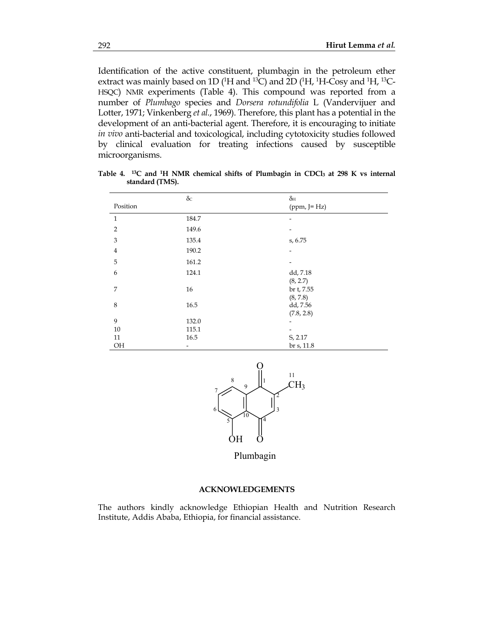Identification of the active constituent, plumbagin in the petroleum ether extract was mainly based on 1D ( $\rm ^1H$  and  $\rm ^{13}C$ ) and 2D ( $\rm ^1H$ ,  $\rm ^1H$ -Cosy and  $\rm ^1H$ ,  $\rm ^{13}C$ -HSQC) NMR experiments (Table 4). This compound was reported from a number of *Plumbago* species and *Dorsera rotundifolia* L (Vandervijuer and Lotter, 1971; Vinkenberg *et al.*, 1969). Therefore, this plant has a potential in the development of an anti-bacterial agent. Therefore, it is encouraging to initiate *in vivo* anti-bacterial and toxicological, including cytotoxicity studies followed by clinical evaluation for treating infections caused by susceptible microorganisms.

|                | $\delta c$ | $\delta$ h               |
|----------------|------------|--------------------------|
| Position       |            | $(ppm, J=Hz)$            |
| $\mathbf{1}$   | 184.7      |                          |
| $\overline{2}$ | 149.6      |                          |
| $\mathfrak{Z}$ | 135.4      | s, 6.75                  |
| $\bf{4}$       | 190.2      | $\overline{\phantom{a}}$ |
| 5              | 161.2      |                          |
| 6              | 124.1      | dd, 7.18                 |
|                |            | (8, 2.7)                 |
| 7              | 16         | br t, 7.55               |
|                |            | (8, 7.8)                 |
| 8              | 16.5       | dd, 7.56                 |
|                |            | (7.8, 2.8)               |
| 9              | 132.0      | ۰                        |
| 10             | 115.1      |                          |
| 11             | 16.5       | S, 2.17                  |
| OH             |            | br s, 11.8               |

Table 4. <sup>13</sup>C and <sup>1</sup>H NMR chemical shifts of Plumbagin in CDCl<sub>3</sub> at 298 K vs internal **standard (TMS).** 



Plumbagin

#### **ACKNOWLEDGEMENTS**

The authors kindly acknowledge Ethiopian Health and Nutrition Research Institute, Addis Ababa, Ethiopia, for financial assistance.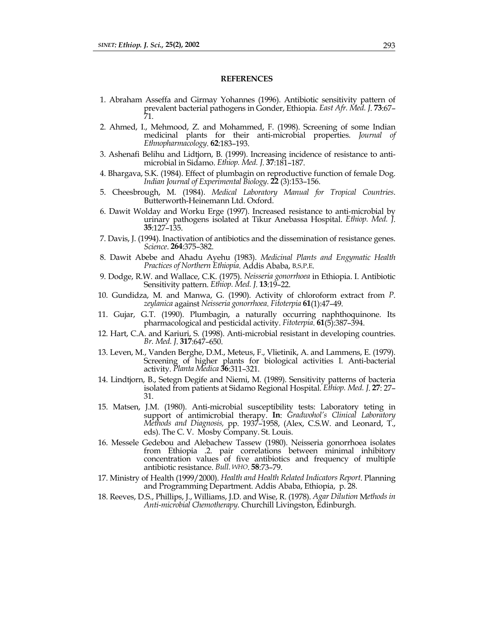#### **REFERENCES**

- 1. Abraham Asseffa and Girmay Yohannes (1996). Antibiotic sensitivity pattern of prevalent bacterial pathogens in Gonder, Ethiopia*. East Afr. Med. J*. **73**:67– 71.
- 2. Ahmed, I., Mehmood, Z. and Mohammed, F. (1998). Screening of some Indian medicinal plants for their anti-microbial properties. *Journal of Ethnopharmacology*. **62**:183–193.
- 3. Ashenafi Belihu and Lidtjorn, B. (1999). Increasing incidence of resistance to antimicrobial in Sidamo. *Ethiop. Med. J*. **37**:181–187.
- 4. Bhargava, S.K. (1984). Effect of plumbagin on reproductive function of female Dog. *Indian Journal of Experimental Biology*. **22** (3):153–156.
- 5. Cheesbrough, M. (1984). *Medical Laboratory Manual for Tropical Countries*. Butterworth-Heinemann Ltd. Oxford.
- 6. Dawit Wolday and Worku Erge (1997). Increased resistance to anti-microbial by urinary pathogens isolated at Tikur Anebassa Hospital. *Ethiop. Med. J*. **35**:127–135.
- 7. Davis, J. (1994). Inactivation of antibiotics and the dissemination of resistance genes. *Science*. **264**:375–382.
- 8. Dawit Abebe and Ahadu Ayehu (1983). *Medicinal Plants and Engymatic Health Practices of Northern Ethiopia*. Addis Ababa, B.S.P.E.
- 9. Dodge, R.W. and Wallace, C.K. (1975). *Neisseria gonorrhoea* in Ethiopia. I. Antibiotic Sensitivity pattern. *Ethiop. Med. J*. **13**:19–22.
- 10. Gundidza, M. and Manwa, G. (1990). Activity of chloroform extract from *P*. *zeylanica* against *Neisseria gonorrhoea*. *Fitoterpia* **<sup>61</sup>**(1):47–49.
- 11. Gujar, G.T. (1990). Plumbagin, a naturally occurring naphthoquinone. Its pharmacological and pesticidal activity. *Fitoterpia*. **61**(5):387–394.
- 12. Hart, C.A. and Kariuri, S. (1998). Anti-microbial resistant in developing countries. *Br. Med. J*. **317**:647–650.
- 13. Leven, M., Vanden Berghe, D.M., Meteus, F., Vlietinik, A. and Lammens, E. (1979). Screening of higher plants for biological activities I. Anti-bacterial activity. *Planta Medica* **36**:311–321.
- 14. Lindtjorn, B., Setegn Degife and Niemi, M. (1989). Sensitivity patterns of bacteria isolated from patients at Sidamo Regional Hospital. *Ethiop. Med. J*. **27**: 27– 31.
- 15. Matsen, J.M. (1980). Anti-microbial susceptibility tests: Laboratory teting in support of antimicrobial therapy. **In**: *Gradwohol's Clinical Laboratory Methods and Diagnosis,* pp. 1937–1958, (Alex, C.S.W. and Leonard, T., eds). The C. V. Mosby Company. St. Louis.
- 16. Messele Gedebou and Alebachew Tassew (1980). Neisseria gonorrhoea isolates from Ethiopia .2. pair correlations between minimal inhibitory concentration values of five antibiotics and frequency of multiple antibiotic resistance. *Bull. WHO*. **58**:73–79.
- 17. Ministry of Health (1999/2000). *Health and Health Related Indicators Report*. Planning and Programming Department. Addis Ababa, Ethiopia, p. 28.
- 18. Reeves, D.S., Phillips, J., Williams, J.D. and Wise, R. (1978). *Agar Dilution* M*ethods in Anti-microbial Chemotherapy*. Churchill Livingston, Edinburgh.